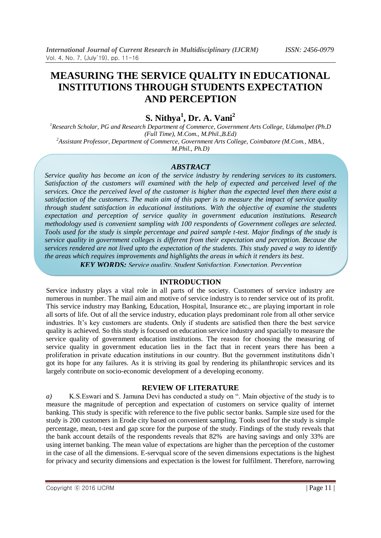# **MEASURING THE SERVICE QUALITY IN EDUCATIONAL INSTITUTIONS THROUGH STUDENTS EXPECTATION AND PERCEPTION**

**S. Nithya<sup>1</sup> , Dr. A. Vani<sup>2</sup>**

*<sup>1</sup>Research Scholar, PG and Research Department of Commerce, Government Arts College, Udumalpet (Ph.D (Full Time), M.Com., M.Phil.,B.Ed) <sup>2</sup>Assistant Professor, Department of Commerce, Government Arts College, Coimbatore (M.Com., MBA.,* 

*M.Phil., Ph.D)*

#### *ABSTRACT*

*Service quality has become an icon of the service industry by rendering services to its customers. Satisfaction of the customers will examined with the help of expected and perceived level of the services. Once the perceived level of the customer is higher than the expected level then there exist a satisfaction of the customers. The main aim of this paper is to measure the impact of service quality through student satisfaction in educational institutions. With the objective of examine the students expectation and perception of service quality in government education institutions. Research methodology used is convenient sampling with 100 respondents of Government colleges are selected. Tools used for the study is simple percentage and paired sample t-test. Major findings of the study is service quality in government colleges is different from their expectation and perception. Because the services rendered are not lived upto the expectation of the students. This study paved a way to identify the areas which requires improvements and highlights the areas in which it renders its best*.

*KEY WORDS: Service quality, Student Satisfaction, Expectation, Perception*

#### **INTRODUCTION**

Service industry plays a vital role in all parts of the society. Customers of service industry are numerous in number. The mail aim and motive of service industry is to render service out of its profit. This service industry may Banking, Education, Hospital, Insurance etc., are playing important in role all sorts of life. Out of all the service industry, education plays predominant role from all other service industries. It's key customers are students. Only if students are satisfied then there the best service quality is achieved. So this study is focused on education service industry and spacially to measure the service quality of government education institutions. The reason for choosing the measuring of service quality in government education lies in the fact that in recent years there has been a proliferation in private education institutions in our country. But the government institutitons didn"t got its hope for any failures. As it is striving its goal by rendering its philanthropic services and its largely contribute on socio-economic development of a developing economy.

#### **REVIEW OF LITERATURE**

*a)* K.S.Eswari and S. Jamuna Devi has conducted a study on ". Main objective of the study is to measure the magnitude of perception and expectation of customers on service quality of internet banking. This study is specific with reference to the five public sector banks. Sample size used for the study is 200 customers in Erode city based on convenient sampling. Tools used for the study is simple percentage, mean, t-test and gap score for the purpose of the study. Findings of the study reveals that the bank account details of the respondents reveals that 82% are having savings and only 33% are using internet banking. The mean value of expectations are higher than the perception of the customer in the case of all the dimensions. E-servqual score of the seven dimensions expectations is the highest for privacy and security dimensions and expectation is the lowest for fulfilment. Therefore, narrowing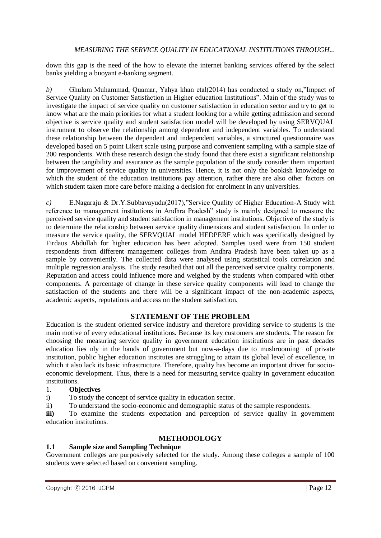down this gap is the need of the how to elevate the internet banking services offered by the select banks yielding a buoyant e-banking segment.

*b)* Ghulam Muhammad, Quamar, Yahya khan etal(2014) has conducted a study on,"Impact of Service Quality on Customer Satisfaction in Higher education Institutions". Main of the study was to investigate the impact of service quality on customer satisfaction in education sector and try to get to know what are the main priorities for what a student looking for a while getting admission and second objective is service quality and student satisfaction model will be developed by using SERVQUAL instrument to observe the relationship among dependent and independent variables. To understand these relationship between the dependent and independent variables, a structured questionnaire was developed based on 5 point Likert scale using purpose and convenient sampling with a sample size of 200 respondents. With these research design the study found that there exist a significant relationship between the tangibility and assurance as the sample population of the study consider them important for improvement of service quality in universities. Hence, it is not only the bookish knowledge to which the student of the education institutions pay attention, rather there are also other factors on which student taken more care before making a decision for enrolment in any universities.

*c)* E.Nagaraju & Dr.Y.Subbavayudu(2017),"Service Quality of Higher Education-A Study with reference to management institutions in Andhra Pradesh" study is mainly designed to measure the perceived service quality and student satisfaction in management institutions. Objective of the study is to determine the relationship between service quality dimensions and student satisfaction. In order to measure the service quality, the SERVQUAL model HEDPERF which was specifically designed by Firdaus Abdullah for higher education has been adopted. Samples used were from 150 student respondents from different management colleges from Andhra Pradesh have been taken up as a sample by conveniently. The collected data were analysed using statistical tools correlation and multiple regression analysis. The study resulted that out all the perceived service quality components. Reputation and access could influence more and weighed by the students when compared with other components. A percentage of change in these service quality components will lead to change the satisfaction of the students and there will be a significant impact of the non-academic aspects, academic aspects, reputations and access on the student satisfaction.

# **STATEMENT OF THE PROBLEM**

Education is the student oriented service industry and therefore providing service to students is the main motive of every educational institutions. Because its key customers are students. The reason for choosing the measuring service quality in government education institutions are in past decades education lies nly in the hands of government but now-a-days due to mushrooming of private institution, public higher education institutes are struggling to attain its global level of excellence, in which it also lack its basic infrastructure. Therefore, quality has become an important driver for socioeconomic development. Thus, there is a need for measuring service quality in government education institutions.

#### 1. **Objectives**

i) To study the concept of service quality in education sector.

ii) To understand the socio-economic and demographic status of the sample respondents.

**iii)** To examine the students expectation and perception of service quality in government education institutions.

# **METHODOLOGY**

## **1.1 Sample size and Sampling Technique**

Government colleges are purposively selected for the study. Among these colleges a sample of 100 students were selected based on convenient sampling.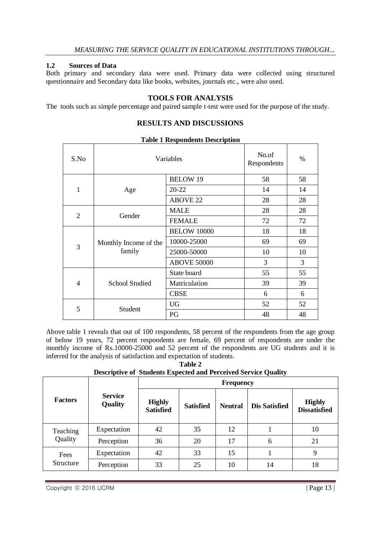## **1.2 Sources of Data**

Both primary and secondary data were used. Primary data were collected using structured questionnaire and Secondary data like books, websites, journals etc., were also used.

# **TOOLS FOR ANALYSIS**

The tools such as simple percentage and paired sample t-test were used for the purpose of the study.

# **RESULTS AND DISCUSSIONS**

| S.No           |                                 | Variables                                                         | No.of<br>Respondents | %  |
|----------------|---------------------------------|-------------------------------------------------------------------|----------------------|----|
| 1              | Age                             | <b>BELOW 19</b>                                                   | 58                   | 58 |
|                |                                 | 20-22                                                             | 14                   | 14 |
|                |                                 | <b>ABOVE 22</b><br>28<br>28<br><b>MALE</b><br><b>FEMALE</b><br>72 | 28                   |    |
|                | Gender                          |                                                                   |                      | 28 |
| $\overline{2}$ |                                 |                                                                   |                      | 72 |
| 3              | Monthly Income of the<br>family | <b>BELOW 10000</b>                                                | 18                   | 18 |
|                |                                 | 10000-25000                                                       | 69                   | 69 |
|                |                                 | 25000-50000                                                       | 10                   | 10 |
|                |                                 | <b>ABOVE 50000</b>                                                | 3                    | 3  |
| 4              | <b>School Studied</b>           | State board                                                       | 55                   | 55 |
|                |                                 | Matriculation                                                     | 39                   | 39 |
|                |                                 | <b>CBSE</b>                                                       | 6                    | 6  |
|                | Student                         | <b>UG</b>                                                         | 52                   | 52 |
| 5              |                                 | PG                                                                | 48                   | 48 |

#### **Table 1 Respondents Description**

Above table 1 reveals that out of 100 respondents, 58 percent of the respondents from the age group of below 19 years, 72 percent respondents are female, 69 percent of respondents are under the monthly income of Rs.10000-25000 and 52 percent of the respondents are UG students and it is inferred for the analysis of satisfaction and expectation of students.

**Table 2 Descriptive of Students Expected and Perceived Service Quality**

|                   | <b>Service</b><br>Quality | <b>Frequency</b>                  |                  |                |                      |                                      |  |
|-------------------|---------------------------|-----------------------------------|------------------|----------------|----------------------|--------------------------------------|--|
| <b>Factors</b>    |                           | <b>Highly</b><br><b>Satisfied</b> | <b>Satisfied</b> | <b>Neutral</b> | <b>Dis Satisfied</b> | <b>Highly</b><br><b>Dissatisfied</b> |  |
| Teaching          | Expectation               | 42                                | 35               | 12             |                      | 10                                   |  |
| Quality           | Perception                | 36                                | 20               | 17             | 6                    | 21                                   |  |
| Fees<br>Structure | Expectation               | 42                                | 33               | 15             |                      | 9                                    |  |
|                   | Perception                | 33                                | 25               | 10             | 14                   | 18                                   |  |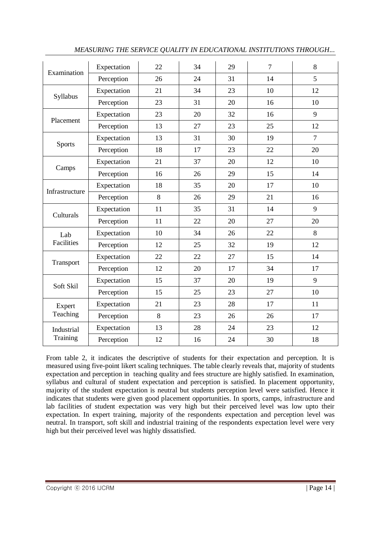|                    | Expectation | 22 | 34 | 29 | $\overline{7}$ | 8              |
|--------------------|-------------|----|----|----|----------------|----------------|
| Examination        | Perception  | 26 | 24 | 31 | 14             | 5              |
| Syllabus           | Expectation | 21 | 34 | 23 | 10             | 12             |
|                    | Perception  | 23 | 31 | 20 | 16             | 10             |
| Placement          | Expectation | 23 | 20 | 32 | 16             | 9              |
|                    | Perception  | 13 | 27 | 23 | 25             | 12             |
| <b>Sports</b>      | Expectation | 13 | 31 | 30 | 19             | $\overline{7}$ |
|                    | Perception  | 18 | 17 | 23 | 22             | 20             |
| Camps              | Expectation | 21 | 37 | 20 | 12             | 10             |
|                    | Perception  | 16 | 26 | 29 | 15             | 14             |
| Infrastructure     | Expectation | 18 | 35 | 20 | 17             | 10             |
|                    | Perception  | 8  | 26 | 29 | 21             | 16             |
| Culturals          | Expectation | 11 | 35 | 31 | 14             | 9              |
|                    | Perception  | 11 | 22 | 20 | 27             | 20             |
| Lab<br>Facilities  | Expectation | 10 | 34 | 26 | 22             | 8              |
|                    | Perception  | 12 | 25 | 32 | 19             | 12             |
| Transport          | Expectation | 22 | 22 | 27 | 15             | 14             |
|                    | Perception  | 12 | 20 | 17 | 34             | 17             |
| Soft Skil          | Expectation | 15 | 37 | 20 | 19             | 9              |
|                    | Perception  | 15 | 25 | 23 | 27             | 10             |
| Expert<br>Teaching | Expectation | 21 | 23 | 28 | 17             | 11             |
|                    | Perception  | 8  | 23 | 26 | 26             | 17             |
| Industrial         | Expectation | 13 | 28 | 24 | 23             | 12             |
| Training           | Perception  | 12 | 16 | 24 | 30             | 18             |

*MEASURING THE SERVICE QUALITY IN EDUCATIONAL INSTITUTIONS THROUGH...*

From table 2, it indicates the descriptive of students for their expectation and perception. It is measured using five-point likert scaling techniques. The table clearly reveals that, majority of students expectation and perception in teaching quality and fees structure are highly satisfied. In examination, syllabus and cultural of student expectation and perception is satisfied. In placement opportunity, majority of the student expectation is neutral but students perception level were satisfied. Hence it indicates that students were given good placement opportunities. In sports, camps, infrastructure and lab facilities of student expectation was very high but their perceived level was low upto their expectation. In expert training, majority of the respondents expectation and perception level was neutral. In transport, soft skill and industrial training of the respondents expectation level were very high but their perceived level was highly dissatisfied.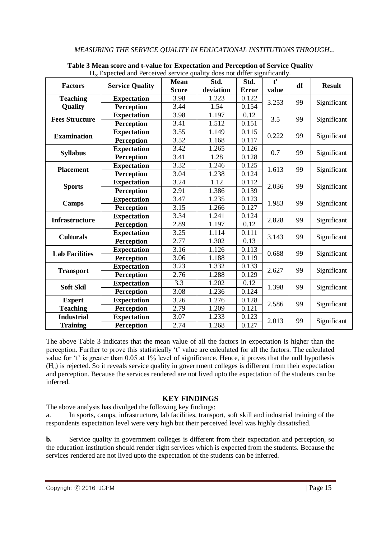| $\Pi_0$ expected and Perceived service quality does not differ significantly. |                        |              |           |              |              |    |               |
|-------------------------------------------------------------------------------|------------------------|--------------|-----------|--------------|--------------|----|---------------|
| <b>Factors</b>                                                                | <b>Service Quality</b> | <b>Mean</b>  | Std.      | Std.         | $t^{\prime}$ | df | <b>Result</b> |
|                                                                               |                        | <b>Score</b> | deviation | <b>Error</b> | value        |    |               |
| <b>Teaching</b>                                                               | <b>Expectation</b>     | 3.98         | 1.223     | 0.122        | 3.253        | 99 | Significant   |
| Quality                                                                       | <b>Perception</b>      | 3.44         | 1.54      | 0.154        |              |    |               |
| <b>Fees Structure</b>                                                         | <b>Expectation</b>     | 3.98         | 1.197     | 0.12         | 3.5          | 99 | Significant   |
|                                                                               | <b>Perception</b>      | 3.41         | 1.512     | 0.151        |              |    |               |
| <b>Examination</b>                                                            | <b>Expectation</b>     | 3.55         | 1.149     | 0.115        | 0.222        | 99 | Significant   |
|                                                                               | <b>Perception</b>      | 3.52         | 1.168     | 0.117        |              |    |               |
|                                                                               | <b>Expectation</b>     | 3.42         | 1.265     | 0.126        | 0.7          | 99 | Significant   |
| <b>Syllabus</b>                                                               | <b>Perception</b>      | 3.41         | 1.28      | 0.128        |              |    |               |
| <b>Placement</b>                                                              | <b>Expectation</b>     | 3.32         | 1.246     | 0.125        | 1.613        | 99 | Significant   |
|                                                                               | <b>Perception</b>      | 3.04         | 1.238     | 0.124        |              |    |               |
|                                                                               | <b>Expectation</b>     | 3.24         | 1.12      | 0.112        | 2.036        | 99 | Significant   |
| <b>Sports</b>                                                                 | <b>Perception</b>      | 2.91         | 1.386     | 0.139        |              |    |               |
|                                                                               | <b>Expectation</b>     | 3.47         | 1.235     | 0.123        | 1.983        | 99 | Significant   |
| <b>Camps</b>                                                                  | <b>Perception</b>      | 3.15         | 1.266     | 0.127        |              |    |               |
| <b>Infrastructure</b>                                                         | <b>Expectation</b>     | 3.34         | 1.241     | 0.124        | 2.828        | 99 | Significant   |
|                                                                               | <b>Perception</b>      | 2.89         | 1.197     | 0.12         |              |    |               |
|                                                                               | <b>Expectation</b>     | 3.25         | 1.114     | 0.111        | 3.143        | 99 | Significant   |
| <b>Culturals</b>                                                              | <b>Perception</b>      | 2.77         | 1.302     | 0.13         |              |    |               |
|                                                                               | <b>Expectation</b>     | 3.16         | 1.126     | 0.113        | 0.688        | 99 | Significant   |
| <b>Lab Facilities</b>                                                         | <b>Perception</b>      | 3.06         | 1.188     | 0.119        |              |    |               |
|                                                                               | <b>Expectation</b>     | 3.23         | 1.332     | 0.133        | 2.627        | 99 | Significant   |
| <b>Transport</b>                                                              | <b>Perception</b>      | 2.76         | 1.288     | 0.129        |              |    |               |
|                                                                               | <b>Expectation</b>     | 3.3          | 1.202     | 0.12         | 1.398        | 99 | Significant   |
| <b>Soft Skil</b>                                                              | <b>Perception</b>      | 3.08         | 1.236     | 0.124        |              |    |               |
| <b>Expert</b>                                                                 | <b>Expectation</b>     | 3.26         | 1.276     | 0.128        |              |    | Significant   |
| <b>Teaching</b>                                                               | <b>Perception</b>      | 2.79         | 1.209     | 0.121        | 2.586        | 99 |               |
| <b>Industrial</b>                                                             | <b>Expectation</b>     | 3.07         | 1.233     | 0.123        | 2.013        |    | Significant   |
| <b>Training</b>                                                               | <b>Perception</b>      | 2.74         | 1.268     | 0.127        |              | 99 |               |

**Table 3 Mean score and t-value for Expectation and Perception of Service Quality** Ho: Expected and Perceived service quality does not differ significantly.

The above Table 3 indicates that the mean value of all the factors in expectation is higher than the perception. Further to prove this statistically "t" value are calculated for all the factors. The calculated value for 't' is greater than 0.05 at 1% level of significance. Hence, it proves that the null hypothesis (Ho) is rejected. So it reveals service quality in government colleges is different from their expectation and perception. Because the services rendered are not lived upto the expectation of the students can be inferred.

# **KEY FINDINGS**

The above analysis has divulged the following key findings:

a. In sports, camps, infrastructure, lab facilities, transport, soft skill and industrial training of the respondents expectation level were very high but their perceived level was highly dissatisfied.

**b.** Service quality in government colleges is different from their expectation and perception, so the education institution should render right services which is expected from the students. Because the services rendered are not lived upto the expectation of the students can be inferred.